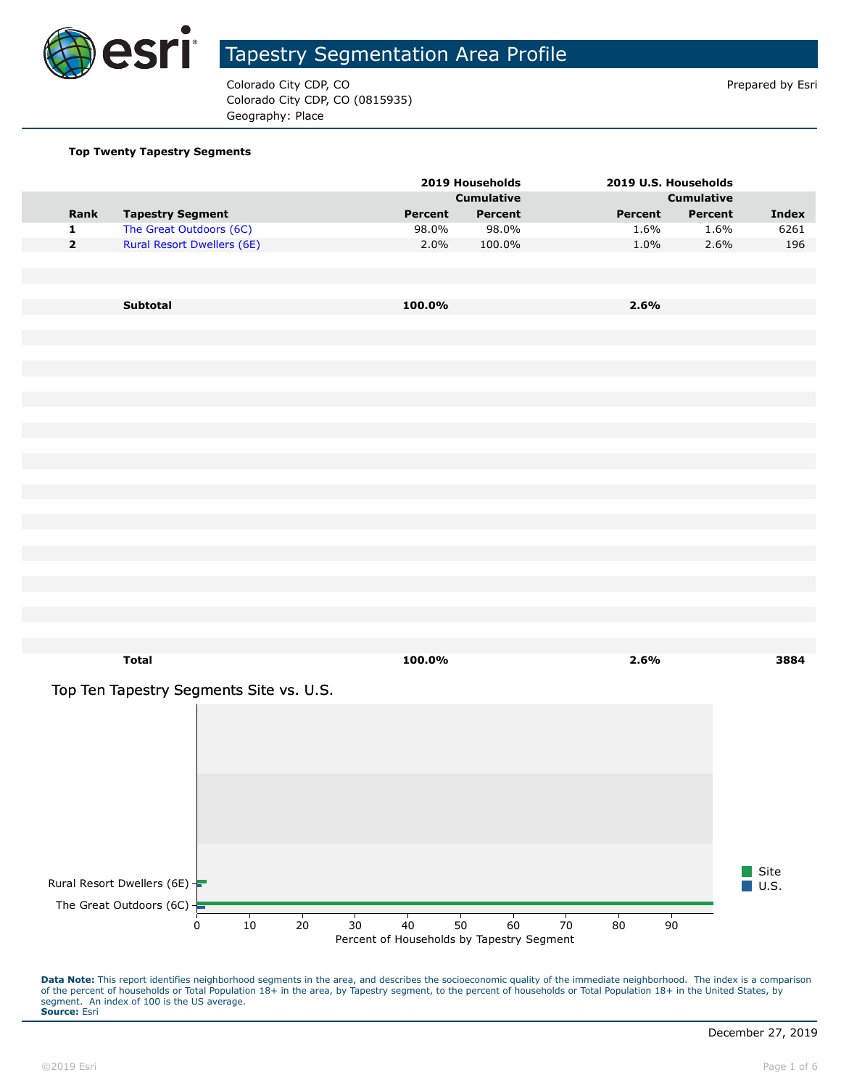

Colorado City CDP, CO **Prepared by Estimate 2** Colorado City CDP, CO Colorado City CDP, CO (0815935) Geography: Place

#### **Top Twenty Tapestry Segments**

|                         |                                         |         | 2019 Households   | 2019 U.S. Households |                   |                     |
|-------------------------|-----------------------------------------|---------|-------------------|----------------------|-------------------|---------------------|
|                         |                                         |         | <b>Cumulative</b> |                      | <b>Cumulative</b> |                     |
| Rank                    | <b>Tapestry Segment</b>                 | Percent | Percent           | Percent              | Percent           | Index               |
| $\mathbf 1$             | The Great Outdoors (6C)                 | 98.0%   | 98.0%             | 1.6%                 | 1.6%              | 6261                |
| $\overline{\mathbf{2}}$ | <b>Rural Resort Dwellers (6E)</b>       | 2.0%    | 100.0%            | 1.0%                 | 2.6%              | 196                 |
|                         |                                         |         |                   |                      |                   |                     |
|                         |                                         |         |                   |                      |                   |                     |
|                         | Subtotal                                | 100.0%  |                   | 2.6%                 |                   |                     |
|                         |                                         |         |                   |                      |                   |                     |
|                         |                                         |         |                   |                      |                   |                     |
|                         |                                         |         |                   |                      |                   |                     |
|                         |                                         |         |                   |                      |                   |                     |
|                         |                                         |         |                   |                      |                   |                     |
|                         |                                         |         |                   |                      |                   |                     |
|                         |                                         |         |                   |                      |                   |                     |
|                         |                                         |         |                   |                      |                   |                     |
|                         |                                         |         |                   |                      |                   |                     |
|                         |                                         |         |                   |                      |                   |                     |
|                         |                                         |         |                   |                      |                   |                     |
|                         |                                         |         |                   |                      |                   |                     |
|                         |                                         |         |                   |                      |                   |                     |
|                         |                                         |         |                   |                      |                   |                     |
|                         |                                         |         |                   |                      |                   |                     |
|                         |                                         |         |                   |                      |                   |                     |
|                         |                                         |         |                   |                      |                   |                     |
|                         | <b>Total</b>                            | 100.0%  |                   | 2.6%                 |                   | 3884                |
|                         |                                         |         |                   |                      |                   |                     |
|                         | Top Ten Tapestry Segments Site vs. U.S. |         |                   |                      |                   |                     |
|                         |                                         |         |                   |                      |                   |                     |
|                         |                                         |         |                   |                      |                   |                     |
|                         |                                         |         |                   |                      |                   |                     |
|                         |                                         |         |                   |                      |                   |                     |
|                         |                                         |         |                   |                      |                   |                     |
|                         |                                         |         |                   |                      |                   |                     |
|                         |                                         |         |                   |                      |                   |                     |
|                         |                                         |         |                   |                      |                   |                     |
|                         |                                         |         |                   |                      |                   | Site                |
|                         | Rural Resort Dwellers (6E) $-$          |         |                   |                      |                   | $\blacksquare$ U.S. |
|                         |                                         |         |                   |                      |                   |                     |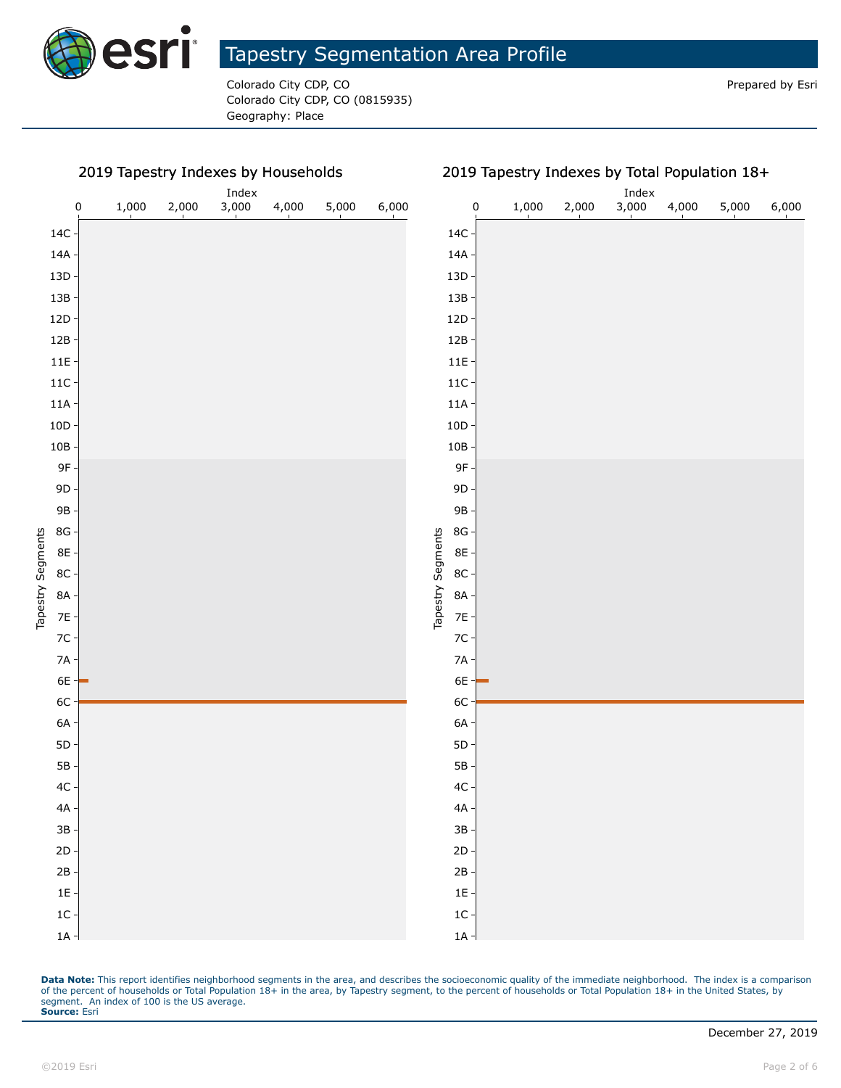

Colorado City CDP, CO **Prepared by Estimate Colorado City CDP**, CO Colorado City CDP, CO (0815935) Geography: Place

#### 2019 Tapestry Indexes by Households



Data Note: This report identifies neighborhood segments in the area, and describes the socioeconomic quality of the immediate neighborhood. The index is a comparison of the percent of households or Total Population 18+ in the area, by Tapestry segment, to the percent of households or Total Population 18+ in the United States, by segment. An index of 100 is the US average. **Source:** Esri

1A 1C 1E 2B 2D 3B 4A 4C 5B 5D 6A 6C 6E 7A 7C 7E 8A 8C 8E 8G 9B 9D 9F 10B 10D 11A 11C 11E 12B 12D 13B 13D 14A 14C

Tapestry Segments

Tapestry Segments

### 2019 Tapestry Indexes by Total Population 18+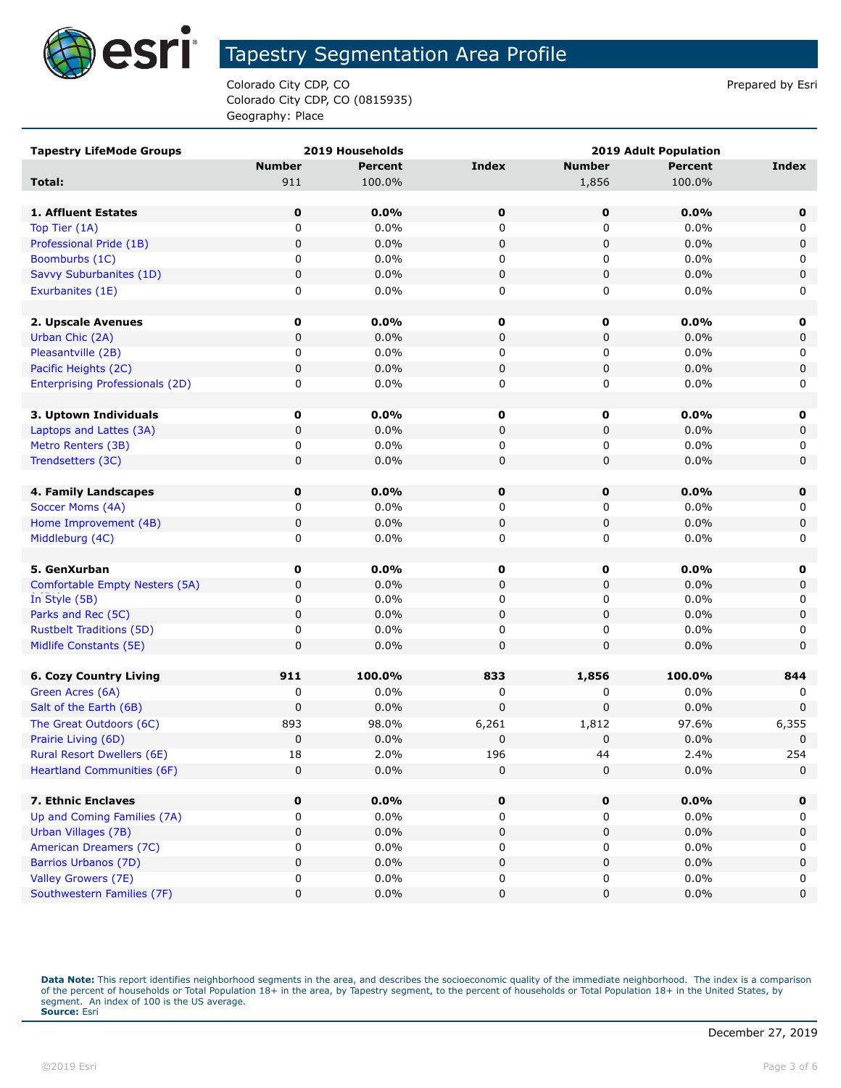

Colorado City CDP, CO **Prepared by Estimate 2** Colorado City CDP, CO Colorado City CDP, CO (0815935) Geography: Place

| <b>Number</b><br><b>Percent</b><br><b>Index</b><br><b>Number</b><br><b>Percent</b><br><b>Index</b><br>1,856<br>911<br>100.0%<br>100.0%<br>Total:<br>$\mathbf 0$<br>0.0%<br>0<br>0<br>0.0%<br>$\mathbf 0$<br>1. Affluent Estates<br>0.0%<br>Top Tier (1A)<br>0<br>0<br>0<br>0.0%<br>0<br>0<br>0.0%<br>$\pmb{0}$<br>0.0%<br>Professional Pride (1B)<br>0<br>0<br>0<br>0.0%<br>Boomburbs (1C)<br>0<br>0.0%<br>0<br>0<br>$\pmb{0}$<br>0.0%<br>$\pmb{0}$<br>0<br>0.0%<br>0<br>Savvy Suburbanites (1D)<br>0<br>0.0%<br>0<br>0<br>0.0%<br>0<br>Exurbanites (1E)<br>2. Upscale Avenues<br>$\mathbf 0$<br>$0.0\%$<br>0<br>0<br>0.0%<br>0<br>$\pmb{0}$<br>0<br>$0.0\%$<br>0<br>0.0%<br>0<br>Urban Chic (2A)<br>0.0%<br>Pleasantville (2B)<br>0<br>0<br>0.0%<br>0<br>0<br>$\pmb{0}$<br>Pacific Heights (2C)<br>0<br>0.0%<br>0<br>0<br>0.0%<br>0.0%<br>0<br>0.0%<br>0<br>0<br>0<br><b>Enterprising Professionals (2D)</b><br>$\mathbf 0$<br>$0.0\%$<br>0<br>0<br>0.0%<br>3. Uptown Individuals<br>0<br>$\pmb{0}$<br>$\mathbf 0$<br>0<br>0<br>Laptops and Lattes (3A)<br>$0.0\%$<br>0.0%<br>0<br>0.0%<br>0<br>0<br>$0.0\%$<br>Metro Renters (3B)<br>0<br>$\pmb{0}$<br>Trendsetters (3C)<br>0<br>0.0%<br>0<br>0.0%<br>0<br>$\mathbf 0$<br>0.0%<br>0<br>0<br>0.0%<br>$\mathbf 0$<br>4. Family Landscapes<br>0.0%<br>0.0%<br>Soccer Moms (4A)<br>0<br>0<br>0<br>0<br>$\pmb{0}$<br>0.0%<br>Home Improvement (4B)<br>0<br>$0.0\%$<br>0<br>0<br>$\pmb{0}$<br>0<br>0.0%<br>0<br>0.0%<br>0<br>Middleburg (4C)<br>0.0%<br>5. GenXurban<br>$\mathbf 0$<br>$0.0\%$<br>0<br>0<br>0<br>0.0%<br>$\pmb{0}$<br>0.0%<br>Comfortable Empty Nesters (5A)<br>0<br>0<br>0<br>0<br>0.0%<br>0<br>0<br>0.0%<br>In Style (5B)<br>0<br>0<br>$\pmb{0}$<br>0<br>0.0%<br>$\pmb{0}$<br>Parks and Rec (5C)<br>0.0%<br><b>Rustbelt Traditions (5D)</b><br>0<br>0.0%<br>0<br>0<br>0.0%<br>0<br>$\pmb{0}$<br>0<br>0.0%<br>$\mathbf 0$<br>0<br>0.0%<br>Midlife Constants (5E)<br>911<br>833<br>1,856<br>100.0%<br>100.0%<br>844<br><b>6. Cozy Country Living</b><br>Green Acres (6A)<br>$0.0\%$<br>0<br>0.0%<br>0<br>0<br>0<br>0.0%<br>0<br>0.0%<br>0<br>0<br>Salt of the Earth (6B)<br>0<br>893<br>98.0%<br>97.6%<br>The Great Outdoors (6C)<br>6,261<br>1,812<br>6,355<br>$\mathbf 0$<br>Prairie Living (6D)<br>0<br>0.0%<br>0<br>0<br>0.0%<br>254<br><b>Rural Resort Dwellers (6E)</b><br>$18\,$<br>2.0%<br>196<br>2.4%<br>44<br>0<br>$\pmb{0}$<br>0<br>0.0%<br>$\mathbf 0$<br><b>Heartland Communities (6F)</b><br>0.0%<br>7. Ethnic Enclaves<br>$\mathbf 0$<br>0.0%<br>0.0%<br>0<br>0<br>$\mathbf 0$<br>Up and Coming Families (7A)<br>0.0%<br>$0.0\%$<br>0<br>0<br>0<br>0<br>Urban Villages (7B)<br>0<br>0.0%<br>0<br>0.0%<br>0<br>0<br>American Dreamers (7C)<br>$0.0\%$<br>0.0%<br>0<br>0<br>0<br>0<br><b>Barrios Urbanos (7D)</b><br>0.0%<br>0<br>0.0%<br>0<br>0<br>0 | <b>Tapestry LifeMode Groups</b> | 2019 Households |   | <b>2019 Adult Population</b> |  |
|--------------------------------------------------------------------------------------------------------------------------------------------------------------------------------------------------------------------------------------------------------------------------------------------------------------------------------------------------------------------------------------------------------------------------------------------------------------------------------------------------------------------------------------------------------------------------------------------------------------------------------------------------------------------------------------------------------------------------------------------------------------------------------------------------------------------------------------------------------------------------------------------------------------------------------------------------------------------------------------------------------------------------------------------------------------------------------------------------------------------------------------------------------------------------------------------------------------------------------------------------------------------------------------------------------------------------------------------------------------------------------------------------------------------------------------------------------------------------------------------------------------------------------------------------------------------------------------------------------------------------------------------------------------------------------------------------------------------------------------------------------------------------------------------------------------------------------------------------------------------------------------------------------------------------------------------------------------------------------------------------------------------------------------------------------------------------------------------------------------------------------------------------------------------------------------------------------------------------------------------------------------------------------------------------------------------------------------------------------------------------------------------------------------------------------------------------------------------------------------------------------------------------------------------------------------------------------------------------------------------------------------------------------------------------------------------------------------------------------------------------------------------------------------------------------------------------------|---------------------------------|-----------------|---|------------------------------|--|
|                                                                                                                                                                                                                                                                                                                                                                                                                                                                                                                                                                                                                                                                                                                                                                                                                                                                                                                                                                                                                                                                                                                                                                                                                                                                                                                                                                                                                                                                                                                                                                                                                                                                                                                                                                                                                                                                                                                                                                                                                                                                                                                                                                                                                                                                                                                                                                                                                                                                                                                                                                                                                                                                                                                                                                                                                                |                                 |                 |   |                              |  |
|                                                                                                                                                                                                                                                                                                                                                                                                                                                                                                                                                                                                                                                                                                                                                                                                                                                                                                                                                                                                                                                                                                                                                                                                                                                                                                                                                                                                                                                                                                                                                                                                                                                                                                                                                                                                                                                                                                                                                                                                                                                                                                                                                                                                                                                                                                                                                                                                                                                                                                                                                                                                                                                                                                                                                                                                                                |                                 |                 |   |                              |  |
|                                                                                                                                                                                                                                                                                                                                                                                                                                                                                                                                                                                                                                                                                                                                                                                                                                                                                                                                                                                                                                                                                                                                                                                                                                                                                                                                                                                                                                                                                                                                                                                                                                                                                                                                                                                                                                                                                                                                                                                                                                                                                                                                                                                                                                                                                                                                                                                                                                                                                                                                                                                                                                                                                                                                                                                                                                |                                 |                 |   |                              |  |
|                                                                                                                                                                                                                                                                                                                                                                                                                                                                                                                                                                                                                                                                                                                                                                                                                                                                                                                                                                                                                                                                                                                                                                                                                                                                                                                                                                                                                                                                                                                                                                                                                                                                                                                                                                                                                                                                                                                                                                                                                                                                                                                                                                                                                                                                                                                                                                                                                                                                                                                                                                                                                                                                                                                                                                                                                                |                                 |                 |   |                              |  |
|                                                                                                                                                                                                                                                                                                                                                                                                                                                                                                                                                                                                                                                                                                                                                                                                                                                                                                                                                                                                                                                                                                                                                                                                                                                                                                                                                                                                                                                                                                                                                                                                                                                                                                                                                                                                                                                                                                                                                                                                                                                                                                                                                                                                                                                                                                                                                                                                                                                                                                                                                                                                                                                                                                                                                                                                                                |                                 |                 |   |                              |  |
|                                                                                                                                                                                                                                                                                                                                                                                                                                                                                                                                                                                                                                                                                                                                                                                                                                                                                                                                                                                                                                                                                                                                                                                                                                                                                                                                                                                                                                                                                                                                                                                                                                                                                                                                                                                                                                                                                                                                                                                                                                                                                                                                                                                                                                                                                                                                                                                                                                                                                                                                                                                                                                                                                                                                                                                                                                |                                 |                 |   |                              |  |
|                                                                                                                                                                                                                                                                                                                                                                                                                                                                                                                                                                                                                                                                                                                                                                                                                                                                                                                                                                                                                                                                                                                                                                                                                                                                                                                                                                                                                                                                                                                                                                                                                                                                                                                                                                                                                                                                                                                                                                                                                                                                                                                                                                                                                                                                                                                                                                                                                                                                                                                                                                                                                                                                                                                                                                                                                                |                                 |                 |   |                              |  |
|                                                                                                                                                                                                                                                                                                                                                                                                                                                                                                                                                                                                                                                                                                                                                                                                                                                                                                                                                                                                                                                                                                                                                                                                                                                                                                                                                                                                                                                                                                                                                                                                                                                                                                                                                                                                                                                                                                                                                                                                                                                                                                                                                                                                                                                                                                                                                                                                                                                                                                                                                                                                                                                                                                                                                                                                                                |                                 |                 |   |                              |  |
|                                                                                                                                                                                                                                                                                                                                                                                                                                                                                                                                                                                                                                                                                                                                                                                                                                                                                                                                                                                                                                                                                                                                                                                                                                                                                                                                                                                                                                                                                                                                                                                                                                                                                                                                                                                                                                                                                                                                                                                                                                                                                                                                                                                                                                                                                                                                                                                                                                                                                                                                                                                                                                                                                                                                                                                                                                |                                 |                 |   |                              |  |
|                                                                                                                                                                                                                                                                                                                                                                                                                                                                                                                                                                                                                                                                                                                                                                                                                                                                                                                                                                                                                                                                                                                                                                                                                                                                                                                                                                                                                                                                                                                                                                                                                                                                                                                                                                                                                                                                                                                                                                                                                                                                                                                                                                                                                                                                                                                                                                                                                                                                                                                                                                                                                                                                                                                                                                                                                                |                                 |                 |   |                              |  |
|                                                                                                                                                                                                                                                                                                                                                                                                                                                                                                                                                                                                                                                                                                                                                                                                                                                                                                                                                                                                                                                                                                                                                                                                                                                                                                                                                                                                                                                                                                                                                                                                                                                                                                                                                                                                                                                                                                                                                                                                                                                                                                                                                                                                                                                                                                                                                                                                                                                                                                                                                                                                                                                                                                                                                                                                                                |                                 |                 |   |                              |  |
|                                                                                                                                                                                                                                                                                                                                                                                                                                                                                                                                                                                                                                                                                                                                                                                                                                                                                                                                                                                                                                                                                                                                                                                                                                                                                                                                                                                                                                                                                                                                                                                                                                                                                                                                                                                                                                                                                                                                                                                                                                                                                                                                                                                                                                                                                                                                                                                                                                                                                                                                                                                                                                                                                                                                                                                                                                |                                 |                 |   |                              |  |
|                                                                                                                                                                                                                                                                                                                                                                                                                                                                                                                                                                                                                                                                                                                                                                                                                                                                                                                                                                                                                                                                                                                                                                                                                                                                                                                                                                                                                                                                                                                                                                                                                                                                                                                                                                                                                                                                                                                                                                                                                                                                                                                                                                                                                                                                                                                                                                                                                                                                                                                                                                                                                                                                                                                                                                                                                                |                                 |                 |   |                              |  |
|                                                                                                                                                                                                                                                                                                                                                                                                                                                                                                                                                                                                                                                                                                                                                                                                                                                                                                                                                                                                                                                                                                                                                                                                                                                                                                                                                                                                                                                                                                                                                                                                                                                                                                                                                                                                                                                                                                                                                                                                                                                                                                                                                                                                                                                                                                                                                                                                                                                                                                                                                                                                                                                                                                                                                                                                                                |                                 |                 |   |                              |  |
|                                                                                                                                                                                                                                                                                                                                                                                                                                                                                                                                                                                                                                                                                                                                                                                                                                                                                                                                                                                                                                                                                                                                                                                                                                                                                                                                                                                                                                                                                                                                                                                                                                                                                                                                                                                                                                                                                                                                                                                                                                                                                                                                                                                                                                                                                                                                                                                                                                                                                                                                                                                                                                                                                                                                                                                                                                |                                 |                 |   |                              |  |
|                                                                                                                                                                                                                                                                                                                                                                                                                                                                                                                                                                                                                                                                                                                                                                                                                                                                                                                                                                                                                                                                                                                                                                                                                                                                                                                                                                                                                                                                                                                                                                                                                                                                                                                                                                                                                                                                                                                                                                                                                                                                                                                                                                                                                                                                                                                                                                                                                                                                                                                                                                                                                                                                                                                                                                                                                                |                                 |                 |   |                              |  |
|                                                                                                                                                                                                                                                                                                                                                                                                                                                                                                                                                                                                                                                                                                                                                                                                                                                                                                                                                                                                                                                                                                                                                                                                                                                                                                                                                                                                                                                                                                                                                                                                                                                                                                                                                                                                                                                                                                                                                                                                                                                                                                                                                                                                                                                                                                                                                                                                                                                                                                                                                                                                                                                                                                                                                                                                                                |                                 |                 |   |                              |  |
|                                                                                                                                                                                                                                                                                                                                                                                                                                                                                                                                                                                                                                                                                                                                                                                                                                                                                                                                                                                                                                                                                                                                                                                                                                                                                                                                                                                                                                                                                                                                                                                                                                                                                                                                                                                                                                                                                                                                                                                                                                                                                                                                                                                                                                                                                                                                                                                                                                                                                                                                                                                                                                                                                                                                                                                                                                |                                 |                 |   |                              |  |
|                                                                                                                                                                                                                                                                                                                                                                                                                                                                                                                                                                                                                                                                                                                                                                                                                                                                                                                                                                                                                                                                                                                                                                                                                                                                                                                                                                                                                                                                                                                                                                                                                                                                                                                                                                                                                                                                                                                                                                                                                                                                                                                                                                                                                                                                                                                                                                                                                                                                                                                                                                                                                                                                                                                                                                                                                                |                                 |                 |   |                              |  |
|                                                                                                                                                                                                                                                                                                                                                                                                                                                                                                                                                                                                                                                                                                                                                                                                                                                                                                                                                                                                                                                                                                                                                                                                                                                                                                                                                                                                                                                                                                                                                                                                                                                                                                                                                                                                                                                                                                                                                                                                                                                                                                                                                                                                                                                                                                                                                                                                                                                                                                                                                                                                                                                                                                                                                                                                                                |                                 |                 |   |                              |  |
|                                                                                                                                                                                                                                                                                                                                                                                                                                                                                                                                                                                                                                                                                                                                                                                                                                                                                                                                                                                                                                                                                                                                                                                                                                                                                                                                                                                                                                                                                                                                                                                                                                                                                                                                                                                                                                                                                                                                                                                                                                                                                                                                                                                                                                                                                                                                                                                                                                                                                                                                                                                                                                                                                                                                                                                                                                |                                 |                 |   |                              |  |
|                                                                                                                                                                                                                                                                                                                                                                                                                                                                                                                                                                                                                                                                                                                                                                                                                                                                                                                                                                                                                                                                                                                                                                                                                                                                                                                                                                                                                                                                                                                                                                                                                                                                                                                                                                                                                                                                                                                                                                                                                                                                                                                                                                                                                                                                                                                                                                                                                                                                                                                                                                                                                                                                                                                                                                                                                                |                                 |                 |   |                              |  |
|                                                                                                                                                                                                                                                                                                                                                                                                                                                                                                                                                                                                                                                                                                                                                                                                                                                                                                                                                                                                                                                                                                                                                                                                                                                                                                                                                                                                                                                                                                                                                                                                                                                                                                                                                                                                                                                                                                                                                                                                                                                                                                                                                                                                                                                                                                                                                                                                                                                                                                                                                                                                                                                                                                                                                                                                                                |                                 |                 |   |                              |  |
|                                                                                                                                                                                                                                                                                                                                                                                                                                                                                                                                                                                                                                                                                                                                                                                                                                                                                                                                                                                                                                                                                                                                                                                                                                                                                                                                                                                                                                                                                                                                                                                                                                                                                                                                                                                                                                                                                                                                                                                                                                                                                                                                                                                                                                                                                                                                                                                                                                                                                                                                                                                                                                                                                                                                                                                                                                |                                 |                 |   |                              |  |
|                                                                                                                                                                                                                                                                                                                                                                                                                                                                                                                                                                                                                                                                                                                                                                                                                                                                                                                                                                                                                                                                                                                                                                                                                                                                                                                                                                                                                                                                                                                                                                                                                                                                                                                                                                                                                                                                                                                                                                                                                                                                                                                                                                                                                                                                                                                                                                                                                                                                                                                                                                                                                                                                                                                                                                                                                                |                                 |                 |   |                              |  |
|                                                                                                                                                                                                                                                                                                                                                                                                                                                                                                                                                                                                                                                                                                                                                                                                                                                                                                                                                                                                                                                                                                                                                                                                                                                                                                                                                                                                                                                                                                                                                                                                                                                                                                                                                                                                                                                                                                                                                                                                                                                                                                                                                                                                                                                                                                                                                                                                                                                                                                                                                                                                                                                                                                                                                                                                                                |                                 |                 |   |                              |  |
|                                                                                                                                                                                                                                                                                                                                                                                                                                                                                                                                                                                                                                                                                                                                                                                                                                                                                                                                                                                                                                                                                                                                                                                                                                                                                                                                                                                                                                                                                                                                                                                                                                                                                                                                                                                                                                                                                                                                                                                                                                                                                                                                                                                                                                                                                                                                                                                                                                                                                                                                                                                                                                                                                                                                                                                                                                |                                 |                 |   |                              |  |
|                                                                                                                                                                                                                                                                                                                                                                                                                                                                                                                                                                                                                                                                                                                                                                                                                                                                                                                                                                                                                                                                                                                                                                                                                                                                                                                                                                                                                                                                                                                                                                                                                                                                                                                                                                                                                                                                                                                                                                                                                                                                                                                                                                                                                                                                                                                                                                                                                                                                                                                                                                                                                                                                                                                                                                                                                                |                                 |                 |   |                              |  |
|                                                                                                                                                                                                                                                                                                                                                                                                                                                                                                                                                                                                                                                                                                                                                                                                                                                                                                                                                                                                                                                                                                                                                                                                                                                                                                                                                                                                                                                                                                                                                                                                                                                                                                                                                                                                                                                                                                                                                                                                                                                                                                                                                                                                                                                                                                                                                                                                                                                                                                                                                                                                                                                                                                                                                                                                                                |                                 |                 |   |                              |  |
|                                                                                                                                                                                                                                                                                                                                                                                                                                                                                                                                                                                                                                                                                                                                                                                                                                                                                                                                                                                                                                                                                                                                                                                                                                                                                                                                                                                                                                                                                                                                                                                                                                                                                                                                                                                                                                                                                                                                                                                                                                                                                                                                                                                                                                                                                                                                                                                                                                                                                                                                                                                                                                                                                                                                                                                                                                |                                 |                 |   |                              |  |
|                                                                                                                                                                                                                                                                                                                                                                                                                                                                                                                                                                                                                                                                                                                                                                                                                                                                                                                                                                                                                                                                                                                                                                                                                                                                                                                                                                                                                                                                                                                                                                                                                                                                                                                                                                                                                                                                                                                                                                                                                                                                                                                                                                                                                                                                                                                                                                                                                                                                                                                                                                                                                                                                                                                                                                                                                                |                                 |                 |   |                              |  |
|                                                                                                                                                                                                                                                                                                                                                                                                                                                                                                                                                                                                                                                                                                                                                                                                                                                                                                                                                                                                                                                                                                                                                                                                                                                                                                                                                                                                                                                                                                                                                                                                                                                                                                                                                                                                                                                                                                                                                                                                                                                                                                                                                                                                                                                                                                                                                                                                                                                                                                                                                                                                                                                                                                                                                                                                                                |                                 |                 |   |                              |  |
|                                                                                                                                                                                                                                                                                                                                                                                                                                                                                                                                                                                                                                                                                                                                                                                                                                                                                                                                                                                                                                                                                                                                                                                                                                                                                                                                                                                                                                                                                                                                                                                                                                                                                                                                                                                                                                                                                                                                                                                                                                                                                                                                                                                                                                                                                                                                                                                                                                                                                                                                                                                                                                                                                                                                                                                                                                |                                 |                 |   |                              |  |
|                                                                                                                                                                                                                                                                                                                                                                                                                                                                                                                                                                                                                                                                                                                                                                                                                                                                                                                                                                                                                                                                                                                                                                                                                                                                                                                                                                                                                                                                                                                                                                                                                                                                                                                                                                                                                                                                                                                                                                                                                                                                                                                                                                                                                                                                                                                                                                                                                                                                                                                                                                                                                                                                                                                                                                                                                                |                                 |                 |   |                              |  |
|                                                                                                                                                                                                                                                                                                                                                                                                                                                                                                                                                                                                                                                                                                                                                                                                                                                                                                                                                                                                                                                                                                                                                                                                                                                                                                                                                                                                                                                                                                                                                                                                                                                                                                                                                                                                                                                                                                                                                                                                                                                                                                                                                                                                                                                                                                                                                                                                                                                                                                                                                                                                                                                                                                                                                                                                                                |                                 |                 |   |                              |  |
|                                                                                                                                                                                                                                                                                                                                                                                                                                                                                                                                                                                                                                                                                                                                                                                                                                                                                                                                                                                                                                                                                                                                                                                                                                                                                                                                                                                                                                                                                                                                                                                                                                                                                                                                                                                                                                                                                                                                                                                                                                                                                                                                                                                                                                                                                                                                                                                                                                                                                                                                                                                                                                                                                                                                                                                                                                |                                 |                 |   |                              |  |
|                                                                                                                                                                                                                                                                                                                                                                                                                                                                                                                                                                                                                                                                                                                                                                                                                                                                                                                                                                                                                                                                                                                                                                                                                                                                                                                                                                                                                                                                                                                                                                                                                                                                                                                                                                                                                                                                                                                                                                                                                                                                                                                                                                                                                                                                                                                                                                                                                                                                                                                                                                                                                                                                                                                                                                                                                                |                                 |                 |   |                              |  |
|                                                                                                                                                                                                                                                                                                                                                                                                                                                                                                                                                                                                                                                                                                                                                                                                                                                                                                                                                                                                                                                                                                                                                                                                                                                                                                                                                                                                                                                                                                                                                                                                                                                                                                                                                                                                                                                                                                                                                                                                                                                                                                                                                                                                                                                                                                                                                                                                                                                                                                                                                                                                                                                                                                                                                                                                                                |                                 |                 |   |                              |  |
|                                                                                                                                                                                                                                                                                                                                                                                                                                                                                                                                                                                                                                                                                                                                                                                                                                                                                                                                                                                                                                                                                                                                                                                                                                                                                                                                                                                                                                                                                                                                                                                                                                                                                                                                                                                                                                                                                                                                                                                                                                                                                                                                                                                                                                                                                                                                                                                                                                                                                                                                                                                                                                                                                                                                                                                                                                |                                 |                 |   |                              |  |
|                                                                                                                                                                                                                                                                                                                                                                                                                                                                                                                                                                                                                                                                                                                                                                                                                                                                                                                                                                                                                                                                                                                                                                                                                                                                                                                                                                                                                                                                                                                                                                                                                                                                                                                                                                                                                                                                                                                                                                                                                                                                                                                                                                                                                                                                                                                                                                                                                                                                                                                                                                                                                                                                                                                                                                                                                                |                                 |                 |   |                              |  |
|                                                                                                                                                                                                                                                                                                                                                                                                                                                                                                                                                                                                                                                                                                                                                                                                                                                                                                                                                                                                                                                                                                                                                                                                                                                                                                                                                                                                                                                                                                                                                                                                                                                                                                                                                                                                                                                                                                                                                                                                                                                                                                                                                                                                                                                                                                                                                                                                                                                                                                                                                                                                                                                                                                                                                                                                                                |                                 |                 |   |                              |  |
|                                                                                                                                                                                                                                                                                                                                                                                                                                                                                                                                                                                                                                                                                                                                                                                                                                                                                                                                                                                                                                                                                                                                                                                                                                                                                                                                                                                                                                                                                                                                                                                                                                                                                                                                                                                                                                                                                                                                                                                                                                                                                                                                                                                                                                                                                                                                                                                                                                                                                                                                                                                                                                                                                                                                                                                                                                |                                 |                 |   |                              |  |
|                                                                                                                                                                                                                                                                                                                                                                                                                                                                                                                                                                                                                                                                                                                                                                                                                                                                                                                                                                                                                                                                                                                                                                                                                                                                                                                                                                                                                                                                                                                                                                                                                                                                                                                                                                                                                                                                                                                                                                                                                                                                                                                                                                                                                                                                                                                                                                                                                                                                                                                                                                                                                                                                                                                                                                                                                                |                                 |                 |   |                              |  |
|                                                                                                                                                                                                                                                                                                                                                                                                                                                                                                                                                                                                                                                                                                                                                                                                                                                                                                                                                                                                                                                                                                                                                                                                                                                                                                                                                                                                                                                                                                                                                                                                                                                                                                                                                                                                                                                                                                                                                                                                                                                                                                                                                                                                                                                                                                                                                                                                                                                                                                                                                                                                                                                                                                                                                                                                                                |                                 |                 |   |                              |  |
|                                                                                                                                                                                                                                                                                                                                                                                                                                                                                                                                                                                                                                                                                                                                                                                                                                                                                                                                                                                                                                                                                                                                                                                                                                                                                                                                                                                                                                                                                                                                                                                                                                                                                                                                                                                                                                                                                                                                                                                                                                                                                                                                                                                                                                                                                                                                                                                                                                                                                                                                                                                                                                                                                                                                                                                                                                |                                 |                 |   |                              |  |
|                                                                                                                                                                                                                                                                                                                                                                                                                                                                                                                                                                                                                                                                                                                                                                                                                                                                                                                                                                                                                                                                                                                                                                                                                                                                                                                                                                                                                                                                                                                                                                                                                                                                                                                                                                                                                                                                                                                                                                                                                                                                                                                                                                                                                                                                                                                                                                                                                                                                                                                                                                                                                                                                                                                                                                                                                                |                                 |                 |   |                              |  |
| 0<br>0<br>0                                                                                                                                                                                                                                                                                                                                                                                                                                                                                                                                                                                                                                                                                                                                                                                                                                                                                                                                                                                                                                                                                                                                                                                                                                                                                                                                                                                                                                                                                                                                                                                                                                                                                                                                                                                                                                                                                                                                                                                                                                                                                                                                                                                                                                                                                                                                                                                                                                                                                                                                                                                                                                                                                                                                                                                                                    | Valley Growers (7E)             | $0.0\%$         | 0 | $0.0\%$                      |  |
| 0<br>0.0%<br>Southwestern Families (7F)<br>0<br>$0.0\%$<br>0<br>0                                                                                                                                                                                                                                                                                                                                                                                                                                                                                                                                                                                                                                                                                                                                                                                                                                                                                                                                                                                                                                                                                                                                                                                                                                                                                                                                                                                                                                                                                                                                                                                                                                                                                                                                                                                                                                                                                                                                                                                                                                                                                                                                                                                                                                                                                                                                                                                                                                                                                                                                                                                                                                                                                                                                                              |                                 |                 |   |                              |  |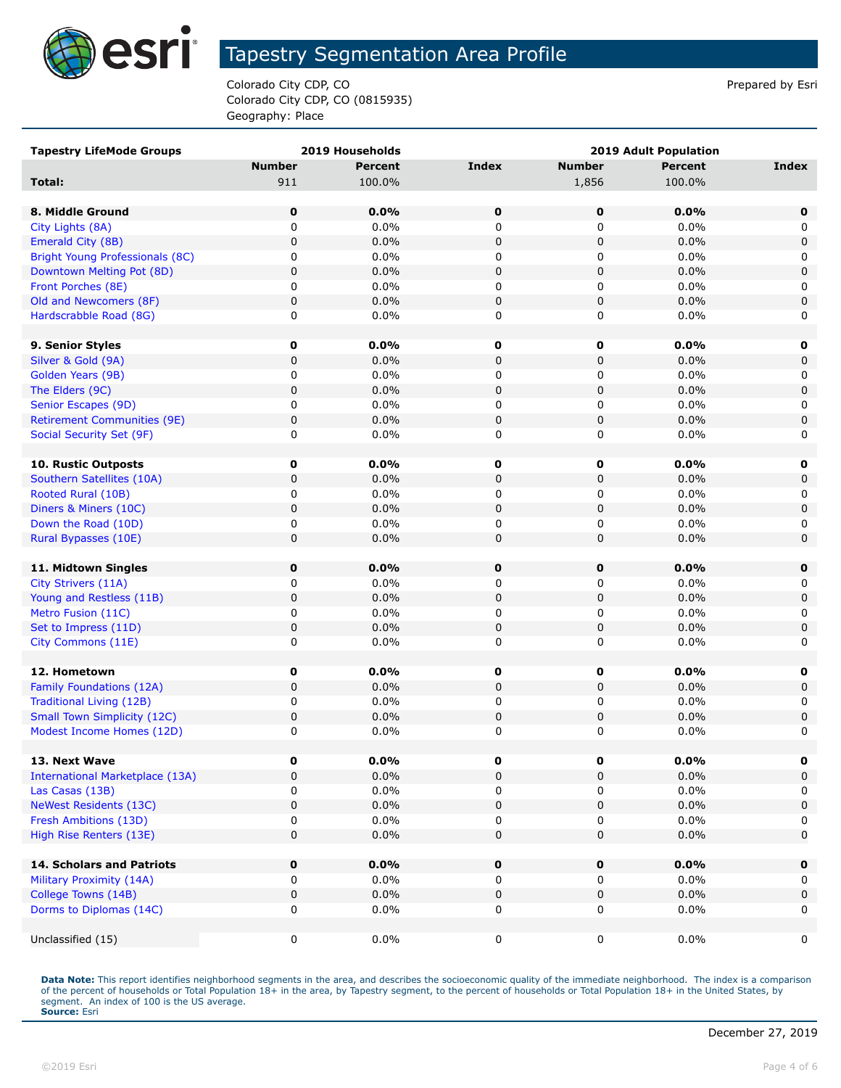

Colorado City CDP, CO **Prepared by Estimate 2** Colorado City CDP, CO Colorado City CDP, CO (0815935) Geography: Place

| <b>Tapestry LifeMode Groups</b>        |               | 2019 Households |             |               | 2019 Adult Population |             |
|----------------------------------------|---------------|-----------------|-------------|---------------|-----------------------|-------------|
|                                        | <b>Number</b> | <b>Percent</b>  | Index       | <b>Number</b> | <b>Percent</b>        | Index       |
| Total:                                 | 911           | 100.0%          |             | 1,856         | 100.0%                |             |
|                                        |               |                 |             |               |                       |             |
| 8. Middle Ground                       | $\mathbf 0$   | 0.0%            | $\mathbf 0$ | 0             | 0.0%                  | 0           |
| City Lights (8A)                       | 0             | 0.0%            | 0           | 0             | 0.0%                  | 0           |
| Emerald City (8B)                      | 0             | 0.0%            | 0           | 0             | 0.0%                  | $\mathbf 0$ |
| Bright Young Professionals (8C)        | 0             | 0.0%            | 0           | 0             | 0.0%                  | 0           |
| Downtown Melting Pot (8D)              | 0             | 0.0%            | 0           | 0             | 0.0%                  | $\mathbf 0$ |
| Front Porches (8E)                     | 0             | 0.0%            | 0           | 0             | 0.0%                  | 0           |
| Old and Newcomers (8F)                 | 0             | 0.0%            | 0           | 0             | 0.0%                  | $\mathbf 0$ |
| Hardscrabble Road (8G)                 | 0             | 0.0%            | 0           | 0             | 0.0%                  | 0           |
|                                        |               |                 |             |               |                       |             |
| 9. Senior Styles                       | 0             | 0.0%            | 0           | 0             | 0.0%                  | 0           |
| Silver & Gold (9A)                     | 0             | 0.0%            | 0           | 0             | 0.0%                  | $\mathbf 0$ |
| Golden Years (9B)                      | 0             | 0.0%            | 0           | 0             | 0.0%                  | 0           |
| The Elders (9C)                        | 0             | 0.0%            | 0           | $\pmb{0}$     | 0.0%                  | $\mathsf 0$ |
| Senior Escapes (9D)                    | 0             | 0.0%            | 0           | 0             | 0.0%                  | 0           |
| <b>Retirement Communities (9E)</b>     | 0             | 0.0%            | 0           | 0             | 0.0%                  | 0           |
| Social Security Set (9F)               | 0             | 0.0%            | 0           | 0             | 0.0%                  | 0           |
|                                        |               |                 |             |               |                       |             |
| <b>10. Rustic Outposts</b>             | 0             | 0.0%            | 0           | 0             | 0.0%                  | 0           |
| Southern Satellites (10A)              | 0             | 0.0%            | $\mathbf 0$ | $\mathbf 0$   | 0.0%                  | $\mathbf 0$ |
| Rooted Rural (10B)                     | 0             | 0.0%            | 0           | 0             | 0.0%                  | 0           |
| Diners & Miners (10C)                  | 0             | 0.0%            | 0           | 0             | 0.0%                  | $\mathsf 0$ |
| Down the Road (10D)                    | 0             | $0.0\%$         | 0           | 0             | 0.0%                  | 0           |
| Rural Bypasses (10E)                   | 0             | 0.0%            | $\mathbf 0$ | 0             | 0.0%                  | 0           |
|                                        |               |                 |             |               |                       |             |
| 11. Midtown Singles                    | 0             | 0.0%            | 0           | 0             | 0.0%                  | 0           |
| City Strivers (11A)                    | 0             | 0.0%            | 0           | 0             | 0.0%                  | 0           |
| Young and Restless (11B)               | 0             | 0.0%            | $\mathbf 0$ | 0             | 0.0%                  | $\mathsf 0$ |
| Metro Fusion (11C)                     | 0             | 0.0%            | 0           | 0             | 0.0%                  | 0           |
| Set to Impress (11D)                   | 0             | 0.0%            | $\mathbf 0$ | $\mathbf 0$   | 0.0%                  | $\mathbf 0$ |
| City Commons (11E)                     | 0             | 0.0%            | 0           | 0             | $0.0\%$               | 0           |
|                                        |               |                 |             |               |                       |             |
| 12. Hometown                           | 0             | 0.0%            | 0           | 0             | $0.0\%$               | 0           |
| Family Foundations (12A)               | 0             | 0.0%            | $\mathbf 0$ | 0             | 0.0%                  | $\mathbf 0$ |
| Traditional Living (12B)               | 0             | 0.0%            | 0           | 0             | 0.0%                  | 0           |
| <b>Small Town Simplicity (12C)</b>     | 0             | 0.0%            | 0           | 0             | 0.0%                  | 0           |
| Modest Income Homes (12D)              | 0             | 0.0%            | 0           | 0             | 0.0%                  | 0           |
|                                        |               |                 |             |               |                       |             |
| 13. Next Wave                          | 0             | $0.0\%$         | 0           | 0             | $0.0\%$               | 0           |
| <b>International Marketplace (13A)</b> | 0             | 0.0%            | $\mathbf 0$ | 0             | 0.0%                  | $\mathbf 0$ |
| Las Casas (13B)                        | 0             | 0.0%            | 0           | 0             | 0.0%                  | 0           |
| <b>NeWest Residents (13C)</b>          | 0             | 0.0%            | 0           | 0             | 0.0%                  | $\mathsf 0$ |
| Fresh Ambitions (13D)                  | 0             | 0.0%            | 0           | 0             | 0.0%                  | 0           |
| High Rise Renters (13E)                | 0             | 0.0%            | $\mathbf 0$ | 0             | 0.0%                  | $\mathbf 0$ |
|                                        |               |                 |             |               |                       |             |
| 14. Scholars and Patriots              | 0             | 0.0%            | 0           | 0             | 0.0%                  | 0           |
| Military Proximity (14A)               | 0             | $0.0\%$         | 0           | 0             | $0.0\%$               | 0           |
| College Towns (14B)                    | 0             | 0.0%            | 0           | 0             | 0.0%                  | $\mathbf 0$ |
| Dorms to Diplomas (14C)                | 0             | 0.0%            | 0           | 0             | 0.0%                  | 0           |
| Unclassified (15)                      |               | $0.0\%$         |             |               | $0.0\%$               | 0           |
|                                        | 0             |                 | 0           | 0             |                       |             |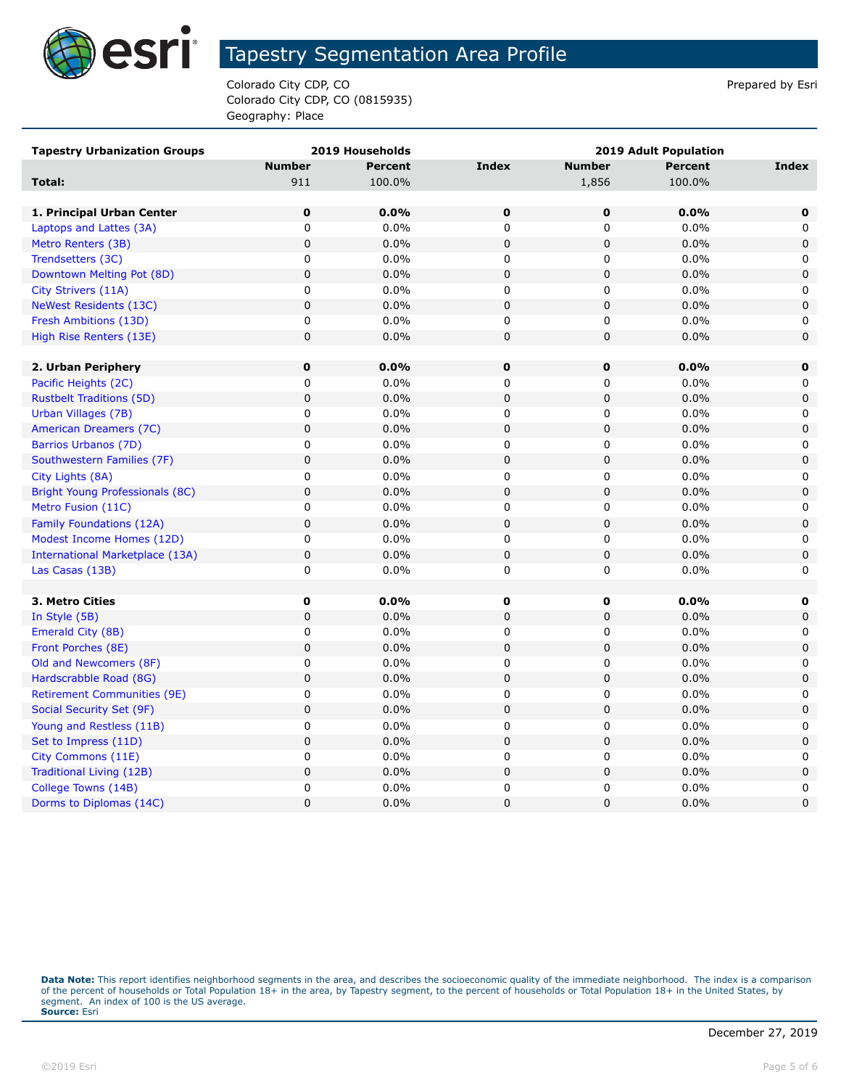

Colorado City CDP, CO **Prepared by Estimate 2** Colorado City CDP, CO Colorado City CDP, CO (0815935) Geography: Place

| <b>Tapestry Urbanization Groups</b>    |               | 2019 Households |                |                | <b>2019 Adult Population</b> |             |
|----------------------------------------|---------------|-----------------|----------------|----------------|------------------------------|-------------|
|                                        | <b>Number</b> | <b>Percent</b>  | <b>Index</b>   | <b>Number</b>  | <b>Percent</b>               | Index       |
| Total:                                 | 911           | 100.0%          |                | 1,856          | 100.0%                       |             |
|                                        |               |                 |                |                |                              |             |
| 1. Principal Urban Center              | $\pmb{0}$     | 0.0%            | $\mathbf 0$    | $\mathbf 0$    | 0.0%                         | $\mathbf 0$ |
| Laptops and Lattes (3A)                | 0             | $0.0\%$         | $\mathbf 0$    | 0              | 0.0%                         | 0           |
| Metro Renters (3B)                     | $\pmb{0}$     | 0.0%            | $\mathbf 0$    | 0              | 0.0%                         | $\mathbf 0$ |
| Trendsetters (3C)                      | 0             | 0.0%            | 0              | 0              | 0.0%                         | 0           |
| Downtown Melting Pot (8D)              | $\mathsf 0$   | 0.0%            | $\mathbf 0$    | 0              | 0.0%                         | $\mathbf 0$ |
| City Strivers (11A)                    | 0             | 0.0%            | 0              | 0              | 0.0%                         | 0           |
| <b>NeWest Residents (13C)</b>          | $\pmb{0}$     | 0.0%            | $\pmb{0}$      | 0              | 0.0%                         | 0           |
| Fresh Ambitions (13D)                  | 0             | 0.0%            | 0              | 0              | 0.0%                         | 0           |
| High Rise Renters (13E)                | $\pmb{0}$     | 0.0%            | $\mathbf 0$    | 0              | 0.0%                         | 0           |
|                                        |               |                 |                |                |                              |             |
| 2. Urban Periphery                     | $\pmb{0}$     | 0.0%            | $\mathbf 0$    | $\mathbf 0$    | 0.0%                         | $\mathbf 0$ |
| Pacific Heights (2C)                   | 0             | $0.0\%$         | $\mathbf 0$    | 0              | 0.0%                         | 0           |
| <b>Rustbelt Traditions (5D)</b>        | $\pmb{0}$     | 0.0%            | $\pmb{0}$      | $\pmb{0}$      | 0.0%                         | $\mathbf 0$ |
| Urban Villages (7B)                    | 0             | 0.0%            | 0              | 0              | 0.0%                         | 0           |
| American Dreamers (7C)                 | $\mathbf 0$   | 0.0%            | $\mathbf 0$    | $\pmb{0}$      | 0.0%                         | 0           |
| Barrios Urbanos (7D)                   | 0             | $0.0\%$         | $\mathbf 0$    | 0              | 0.0%                         | 0           |
| Southwestern Families (7F)             | $\pmb{0}$     | 0.0%            | $\pmb{0}$      | 0              | 0.0%                         | 0           |
| City Lights (8A)                       | 0             | 0.0%            | $\mathbf 0$    | 0              | 0.0%                         | 0           |
| <b>Bright Young Professionals (8C)</b> | $\mathbf 0$   | 0.0%            | $\mathbf 0$    | 0              | 0.0%                         | $\mathbf 0$ |
| Metro Fusion (11C)                     | 0             | $0.0\%$         | $\mathbf 0$    | 0              | 0.0%                         | 0           |
| Family Foundations (12A)               | $\pmb{0}$     | 0.0%            | $\mathbf 0$    | 0              | 0.0%                         | $\mathbf 0$ |
| Modest Income Homes (12D)              | $\pmb{0}$     | 0.0%            | 0              | 0              | 0.0%                         | 0           |
| International Marketplace (13A)        | $\mathsf 0$   | 0.0%            | $\mathsf 0$    | $\mathsf 0$    | 0.0%                         | 0           |
| Las Casas (13B)                        | 0             | $0.0\%$         | 0              | 0              | 0.0%                         | 0           |
|                                        |               |                 |                |                |                              |             |
| 3. Metro Cities                        | $\mathbf 0$   | 0.0%            | $\mathbf 0$    | 0              | 0.0%                         | 0           |
| In Style (5B)                          | $\mathsf 0$   | 0.0%            | $\mathbf 0$    | $\mathsf 0$    | 0.0%                         | $\mathbf 0$ |
| Emerald City (8B)                      | 0             | $0.0\%$         | 0              | 0              | 0.0%                         | 0           |
| Front Porches (8E)                     | $\mathsf 0$   | 0.0%            | $\mathsf 0$    | 0              | 0.0%                         | 0           |
| Old and Newcomers (8F)                 | 0             | 0.0%            | 0              | 0              | 0.0%                         | 0           |
| Hardscrabble Road (8G)                 | $\mathsf 0$   | 0.0%            | $\pmb{0}$      | 0              | 0.0%                         | $\mathbf 0$ |
| <b>Retirement Communities (9E)</b>     | 0             | 0.0%            | 0              | 0              | 0.0%                         | 0           |
| Social Security Set (9F)               | $\mathsf 0$   | 0.0%            | $\mathsf 0$    | $\mathsf 0$    | 0.0%                         | 0           |
| Young and Restless (11B)               | 0             | 0.0%            | $\mathbf 0$    | 0              | 0.0%                         | 0           |
| Set to Impress (11D)                   | 0             | 0.0%            | $\mathbf 0$    | 0              | 0.0%                         | $\mathbf 0$ |
| City Commons (11E)                     | $\pmb{0}$     | 0.0%            | 0              | 0              | 0.0%                         | 0           |
| Traditional Living (12B)               | $\pmb{0}$     | 0.0%            | $\mathbf 0$    | 0              | 0.0%                         | 0           |
| College Towns (14B)                    | 0             | $0.0\%$         | $\mathbf 0$    | 0              | 0.0%                         | 0           |
| Dorms to Diplomas (14C)                | $\mathbf 0$   | 0.0%            | $\overline{0}$ | $\overline{0}$ | 0.0%                         | $\mathbf 0$ |